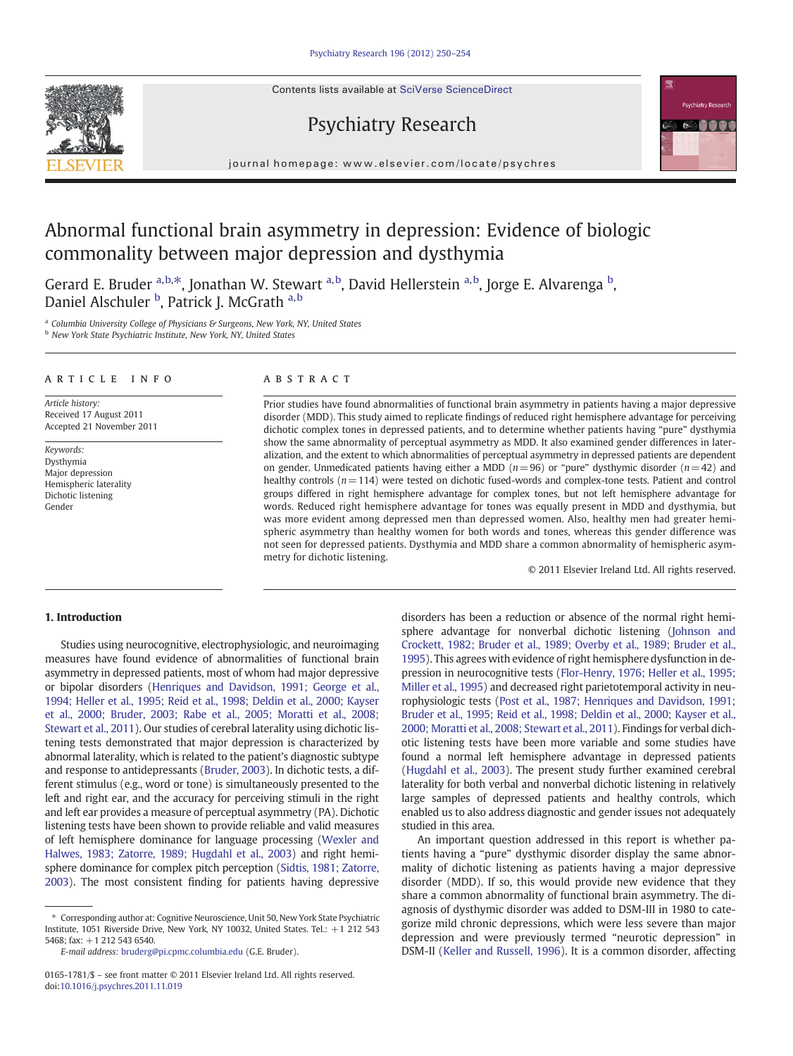Contents lists available at SciVerse ScienceDirect



journal homepage: www.elsevier.com/locate/psychres

Psychiatry Research

# Abnormal functional brain asymmetry in depression: Evidence of biologic commonality between major depression and dysthymia

Gerard E. Bruder <sup>a,b,\*</sup>, Jonathan W. Stewart <sup>a,b</sup>, David Hellerstein <sup>a,b</sup>, Jorge E. Alvarenga <sup>b</sup>, Daniel Alschuler <sup>b</sup>, Patrick J. McGrath <sup>a,b</sup>

<sup>a</sup> Columbia University College of Physicians & Surgeons, New York, NY, United States

**b** New York State Psychiatric Institute, New York, NY, United States

# article info abstract

Article history: Received 17 August 2011 Accepted 21 November 2011

Keywords: Dysthymia Major depression Hemispheric laterality Dichotic listening Gender

Prior studies have found abnormalities of functional brain asymmetry in patients having a major depressive disorder (MDD). This study aimed to replicate findings of reduced right hemisphere advantage for perceiving dichotic complex tones in depressed patients, and to determine whether patients having "pure" dysthymia show the same abnormality of perceptual asymmetry as MDD. It also examined gender differences in lateralization, and the extent to which abnormalities of perceptual asymmetry in depressed patients are dependent on gender. Unmedicated patients having either a MDD ( $n=96$ ) or "pure" dysthymic disorder ( $n=42$ ) and healthy controls (n=114) were tested on dichotic fused-words and complex-tone tests. Patient and control groups differed in right hemisphere advantage for complex tones, but not left hemisphere advantage for words. Reduced right hemisphere advantage for tones was equally present in MDD and dysthymia, but was more evident among depressed men than depressed women. Also, healthy men had greater hemispheric asymmetry than healthy women for both words and tones, whereas this gender difference was not seen for depressed patients. Dysthymia and MDD share a common abnormality of hemispheric asymmetry for dichotic listening.

© 2011 Elsevier Ireland Ltd. All rights reserved.

# 1. Introduction

Studies using neurocognitive, electrophysiologic, and neuroimaging measures have found evidence of abnormalities of functional brain asymmetry in depressed patients, most of whom had major depressive or bipolar disorders [\(Henriques and Davidson, 1991; George et al.,](#page--1-0) [1994; Heller et al., 1995; Reid et al., 1998; Deldin et al., 2000; Kayser](#page--1-0) [et al., 2000; Bruder, 2003; Rabe et al., 2005; Moratti et al., 2008;](#page--1-0) [Stewart et al., 2011](#page--1-0)). Our studies of cerebral laterality using dichotic listening tests demonstrated that major depression is characterized by abnormal laterality, which is related to the patient's diagnostic subtype and response to antidepressants ([Bruder, 2003](#page--1-0)). In dichotic tests, a different stimulus (e.g., word or tone) is simultaneously presented to the left and right ear, and the accuracy for perceiving stimuli in the right and left ear provides a measure of perceptual asymmetry (PA). Dichotic listening tests have been shown to provide reliable and valid measures of left hemisphere dominance for language processing ([Wexler and](#page--1-0) [Halwes, 1983; Zatorre, 1989; Hugdahl et al., 2003](#page--1-0)) and right hemisphere dominance for complex pitch perception [\(Sidtis, 1981; Zatorre,](#page--1-0) [2003\)](#page--1-0). The most consistent finding for patients having depressive

E-mail address: [bruderg@pi.cpmc.columbia.edu](mailto:bruderg@pi.cpmc.columbia.edu) (G.E. Bruder).

disorders has been a reduction or absence of the normal right hemisphere advantage for nonverbal dichotic listening [\(Johnson and](#page--1-0) [Crockett, 1982; Bruder et al., 1989; Overby et al., 1989; Bruder et al.,](#page--1-0) [1995\)](#page--1-0). This agrees with evidence of right hemisphere dysfunction in depression in neurocognitive tests [\(Flor-Henry, 1976; Heller et al., 1995;](#page--1-0) [Miller et al., 1995\)](#page--1-0) and decreased right parietotemporal activity in neurophysiologic tests [\(Post et al., 1987; Henriques and Davidson, 1991;](#page--1-0) [Bruder et al., 1995; Reid et al., 1998; Deldin et al., 2000; Kayser et al.,](#page--1-0) [2000; Moratti et al., 2008; Stewart et al., 2011\)](#page--1-0). Findings for verbal dichotic listening tests have been more variable and some studies have found a normal left hemisphere advantage in depressed patients [\(Hugdahl et al., 2003\)](#page--1-0). The present study further examined cerebral laterality for both verbal and nonverbal dichotic listening in relatively large samples of depressed patients and healthy controls, which enabled us to also address diagnostic and gender issues not adequately studied in this area.

An important question addressed in this report is whether patients having a "pure" dysthymic disorder display the same abnormality of dichotic listening as patients having a major depressive disorder (MDD). If so, this would provide new evidence that they share a common abnormality of functional brain asymmetry. The diagnosis of dysthymic disorder was added to DSM-III in 1980 to categorize mild chronic depressions, which were less severe than major depression and were previously termed "neurotic depression" in DSM-II [\(Keller and Russell, 1996](#page--1-0)). It is a common disorder, affecting

<sup>⁎</sup> Corresponding author at: Cognitive Neuroscience, Unit 50, New York State Psychiatric Institute, 1051 Riverside Drive, New York, NY 10032, United States. Tel.: +1 212 543 5468; fax: +1 212 543 6540.

<sup>0165-1781/\$</sup> – see front matter © 2011 Elsevier Ireland Ltd. All rights reserved. doi[:10.1016/j.psychres.2011.11.019](http://dx.doi.org/10.1016/j.psychres.2011.11.019)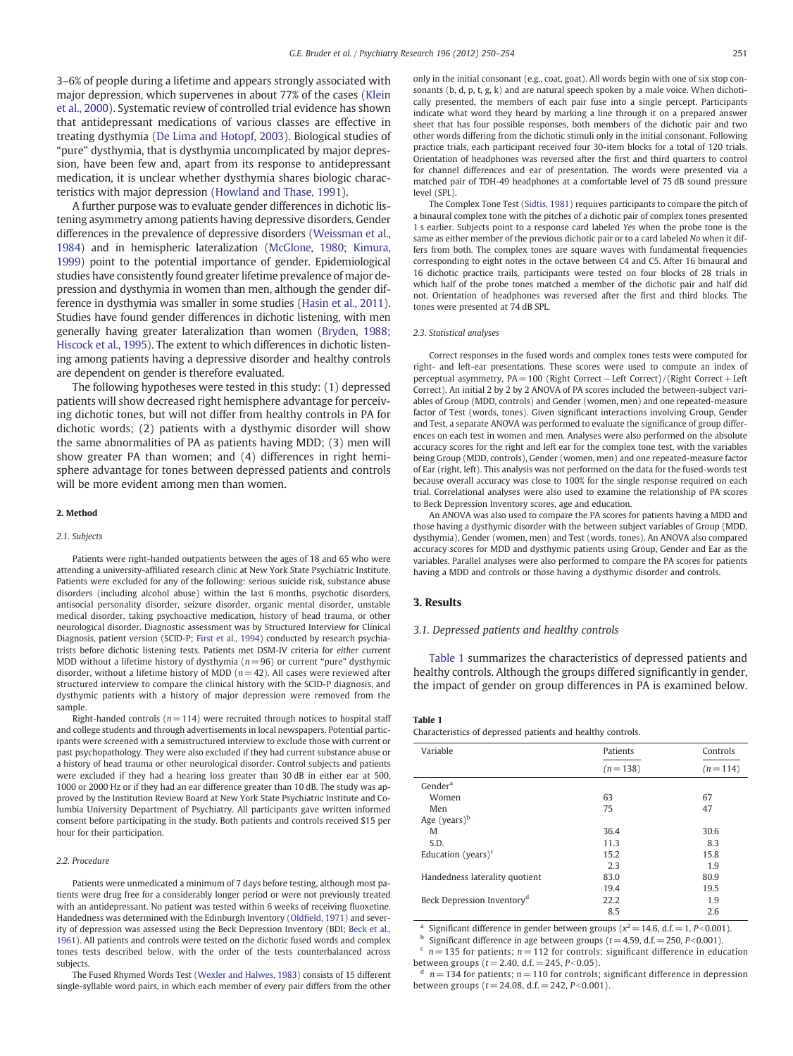3–6% of people during a lifetime and appears strongly associated with major depression, which supervenes in about 77% of the cases ([Klein](#page--1-0) [et al., 2000](#page--1-0)). Systematic review of controlled trial evidence has shown that antidepressant medications of various classes are effective in treating dysthymia ([De Lima and Hotopf, 2003](#page--1-0)). Biological studies of "pure" dysthymia, that is dysthymia uncomplicated by major depression, have been few and, apart from its response to antidepressant medication, it is unclear whether dysthymia shares biologic characteristics with major depression ([Howland and Thase, 1991\)](#page--1-0).

A further purpose was to evaluate gender differences in dichotic listening asymmetry among patients having depressive disorders. Gender differences in the prevalence of depressive disorders [\(Weissman et al.,](#page--1-0) [1984](#page--1-0)) and in hemispheric lateralization [\(McGlone, 1980; Kimura,](#page--1-0) [1999](#page--1-0)) point to the potential importance of gender. Epidemiological studies have consistently found greater lifetime prevalence of major depression and dysthymia in women than men, although the gender difference in dysthymia was smaller in some studies ([Hasin et al., 2011](#page--1-0)). Studies have found gender differences in dichotic listening, with men generally having greater lateralization than women ([Bryden, 1988;](#page--1-0) [Hiscock et al., 1995](#page--1-0)). The extent to which differences in dichotic listening among patients having a depressive disorder and healthy controls are dependent on gender is therefore evaluated.

The following hypotheses were tested in this study: (1) depressed patients will show decreased right hemisphere advantage for perceiving dichotic tones, but will not differ from healthy controls in PA for dichotic words; (2) patients with a dysthymic disorder will show the same abnormalities of PA as patients having MDD; (3) men will show greater PA than women; and (4) differences in right hemisphere advantage for tones between depressed patients and controls will be more evident among men than women.

### 2. Method

#### 2.1. Subjects

Patients were right-handed outpatients between the ages of 18 and 65 who were attending a university-affiliated research clinic at New York State Psychiatric Institute. Patients were excluded for any of the following: serious suicide risk, substance abuse disorders (including alcohol abuse) within the last 6 months, psychotic disorders, antisocial personality disorder, seizure disorder, organic mental disorder, unstable medical disorder, taking psychoactive medication, history of head trauma, or other neurological disorder. Diagnostic assessment was by Structured Interview for Clinical Diagnosis, patient version (SCID-P; [First et al., 1994](#page--1-0)) conducted by research psychiatrists before dichotic listening tests. Patients met DSM-IV criteria for either current MDD without a lifetime history of dysthymia ( $n = 96$ ) or current "pure" dysthymic disorder, without a lifetime history of MDD ( $n=42$ ). All cases were reviewed after structured interview to compare the clinical history with the SCID-P diagnosis, and dysthymic patients with a history of major depression were removed from the sample.

Right-handed controls ( $n = 114$ ) were recruited through notices to hospital staff and college students and through advertisements in local newspapers. Potential participants were screened with a semistructured interview to exclude those with current or past psychopathology. They were also excluded if they had current substance abuse or a history of head trauma or other neurological disorder. Control subjects and patients were excluded if they had a hearing loss greater than 30 dB in either ear at 500, 1000 or 2000 Hz or if they had an ear difference greater than 10 dB. The study was approved by the Institution Review Board at New York State Psychiatric Institute and Columbia University Department of Psychiatry. All participants gave written informed consent before participating in the study. Both patients and controls received \$15 per hour for their participation.

### 2.2. Procedure

Patients were unmedicated a minimum of 7 days before testing, although most patients were drug free for a considerably longer period or were not previously treated with an antidepressant. No patient was tested within 6 weeks of receiving fluoxetine. Handedness was determined with the Edinburgh Inventory (Oldfi[eld, 1971\)](#page--1-0) and severity of depression was assessed using the Beck Depression Inventory (BDI; [Beck et al.,](#page--1-0) [1961](#page--1-0)). All patients and controls were tested on the dichotic fused words and complex tones tests described below, with the order of the tests counterbalanced across subjects.

The Fused Rhymed Words Test ([Wexler and Halwes, 1983](#page--1-0)) consists of 15 different single-syllable word pairs, in which each member of every pair differs from the other

only in the initial consonant (e.g., coat, goat). All words begin with one of six stop consonants (b, d, p, t, g, k) and are natural speech spoken by a male voice. When dichotically presented, the members of each pair fuse into a single percept. Participants indicate what word they heard by marking a line through it on a prepared answer sheet that has four possible responses, both members of the dichotic pair and two other words differing from the dichotic stimuli only in the initial consonant. Following practice trials, each participant received four 30-item blocks for a total of 120 trials. Orientation of headphones was reversed after the first and third quarters to control for channel differences and ear of presentation. The words were presented via a matched pair of TDH-49 headphones at a comfortable level of 75 dB sound pressure level (SPL).

The Complex Tone Test [\(Sidtis, 1981\)](#page--1-0) requires participants to compare the pitch of a binaural complex tone with the pitches of a dichotic pair of complex tones presented 1 s earlier. Subjects point to a response card labeled Yes when the probe tone is the same as either member of the previous dichotic pair or to a card labeled No when it differs from both. The complex tones are square waves with fundamental frequencies corresponding to eight notes in the octave between C4 and C5. After 16 binaural and 16 dichotic practice trails, participants were tested on four blocks of 28 trials in which half of the probe tones matched a member of the dichotic pair and half did not. Orientation of headphones was reversed after the first and third blocks. The tones were presented at 74 dB SPL.

#### 2.3. Statistical analyses

Correct responses in the fused words and complex tones tests were computed for right- and left-ear presentations. These scores were used to compute an index of perceptual asymmetry, PA= 100 (Right Correct−Left Correct) / (Right Correct+ Left Correct). An initial 2 by 2 by 2 ANOVA of PA scores included the between-subject variables of Group (MDD, controls) and Gender (women, men) and one repeated-measure factor of Test (words, tones). Given significant interactions involving Group, Gender and Test, a separate ANOVA was performed to evaluate the significance of group differences on each test in women and men. Analyses were also performed on the absolute accuracy scores for the right and left ear for the complex tone test, with the variables being Group (MDD, controls), Gender (women, men) and one repeated-measure factor of Ear (right, left). This analysis was not performed on the data for the fused-words test because overall accuracy was close to 100% for the single response required on each trial. Correlational analyses were also used to examine the relationship of PA scores to Beck Depression Inventory scores, age and education.

An ANOVA was also used to compare the PA scores for patients having a MDD and those having a dysthymic disorder with the between subject variables of Group (MDD, dysthymia), Gender (women, men) and Test (words, tones). An ANOVA also compared accuracy scores for MDD and dysthymic patients using Group, Gender and Ear as the variables. Parallel analyses were also performed to compare the PA scores for patients having a MDD and controls or those having a dysthymic disorder and controls.

## 3. Results

## 3.1. Depressed patients and healthy controls

Table 1 summarizes the characteristics of depressed patients and healthy controls. Although the groups differed significantly in gender, the impact of gender on group differences in PA is examined below.

#### Table 1

Characteristics of depressed patients and healthy controls.

| Variable                                    | Patients    | Controls    |
|---------------------------------------------|-------------|-------------|
|                                             | $(n = 138)$ | $(n = 114)$ |
| Gender <sup>a</sup>                         |             |             |
| Women                                       | 63          | 67          |
| Men                                         | 75          | 47          |
| Age (years) $b$                             |             |             |
| M                                           | 36.4        | 30.6        |
| S.D.                                        | 11.3        | 8.3         |
| Education (years) <sup><math>c</math></sup> | 15.2        | 15.8        |
|                                             | 2.3         | 1.9         |
| Handedness laterality quotient              | 83.0        | 80.9        |
|                                             | 19.4        | 19.5        |
| Beck Depression Inventory <sup>d</sup>      | 22.2        | 1.9         |
|                                             | 8.5         | 2.6         |

Significant difference in gender between groups ( $x^2$  = 14.6, d.f. = 1, P<0.001).

<sup>b</sup> Significant difference in age between groups ( $t=$  4.59, d.f. = 250, P<0.001).

 $n = 135$  for patients;  $n = 112$  for controls; significant difference in education between groups ( $t = 2.40$ , d.f. = 245,  $P < 0.05$ ).

 $n = 134$  for patients;  $n = 110$  for controls; significant difference in depression between groups  $(t= 24.08, d.f. = 242, P < 0.001)$ .